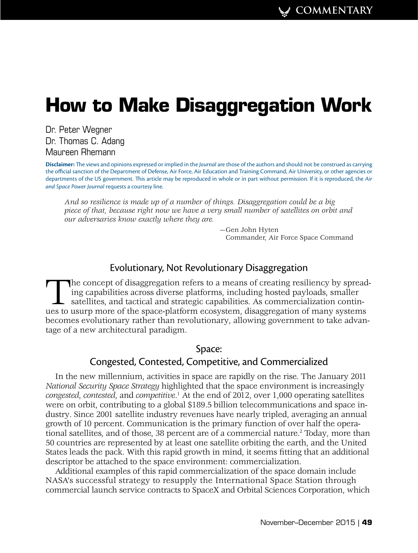# **How to Make Disaggregation Work**

[Dr. Peter Wegner](#page-5-0) [Dr. Thomas C. Adang](#page-6-0) Maureen Rhemann

**Disclaimer:** The views and opinions expressed or implied in the *Journal* are those of the authors and should not be construed as carrying the official sanction of the Department of Defense, Air Force, Air Education and Training Command, Air University, or other agencies or departments of the US government. This article may be reproduced in whole or in part without permission. If it is reproduced, the *Air and Space Power Journal* requests a courtesy line.

*And so resilience is made up of a number of things. Disaggregation could be a big piece of that, because right now we have a very small number of satellites on orbit and our adversaries know exactly where they are.*

> —Gen John Hyten Commander, Air Force Space Command

## Evolutionary, Not Revolutionary Disaggregation

The concept of disaggregation refers to a means of creating resiliency by spreading capabilities across diverse platforms, including hosted payloads, smaller satellites, and tactical and strategic capabilities. As commercialization continues to usurp more of the space-platform ecosystem, disaggregation of many systems becomes evolutionary rather than revolutionary, allowing government to take advantage of a new architectural paradigm.

## Space:

## Congested, Contested, Competitive, and Commercialized

In the new millennium, activities in space are rapidly on the rise. The January 2011 *National Security Space Strategy* highlighted that the space environment is increasingly *congested*, *contested*, and *competitive*. 1 At the end of 2012, over 1,000 operating satellites were on orbit, contributing to a global \$189.5 billion telecommunications and space industry. Since 2001 satellite industry revenues have nearly tripled, averaging an annual growth of 10 percent. Communication is the primary function of over half the operational satellites, and of those, 38 percent are of a commercial nature.<sup>2</sup> Today, more than 50 countries are represented by at least one satellite orbiting the earth, and the United States leads the pack. With this rapid growth in mind, it seems fitting that an additional descriptor be attached to the space environment: commercialization.

Additional examples of this rapid commercialization of the space domain include NASA's successful strategy to resupply the International Space Station through commercial launch service contracts to SpaceX and Orbital Sciences Corporation, which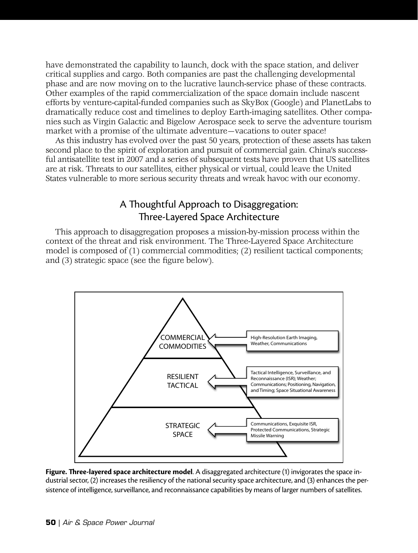have demonstrated the capability to launch, dock with the space station, and deliver critical supplies and cargo. Both companies are past the challenging developmental phase and are now moving on to the lucrative launch-service phase of these contracts. Other examples of the rapid commercialization of the space domain include nascent efforts by venture-capital-funded companies such as SkyBox (Google) and PlanetLabs to dramatically reduce cost and timelines to deploy Earth-imaging satellites. Other companies such as Virgin Galactic and Bigelow Aerospace seek to serve the adventure tourism market with a promise of the ultimate adventure—vacations to outer space!

As this industry has evolved over the past 50 years, protection of these assets has taken second place to the spirit of exploration and pursuit of commercial gain. China's successful antisatellite test in 2007 and a series of subsequent tests have proven that US satellites are at risk. Threats to our satellites, either physical or virtual, could leave the United States vulnerable to more serious security threats and wreak havoc with our economy.

# A Thoughtful Approach to Disaggregation: Three-Layered Space Architecture

This approach to disaggregation proposes a mission-by-mission process within the context of the threat and risk environment. The Three-Layered Space Architecture model is composed of (1) commercial commodities; (2) resilient tactical components; and (3) strategic space (see the figure below).



**Figure. Three-layered space architecture model**. A disaggregated architecture (1) invigorates the space industrial sector, (2) increases the resiliency of the national security space architecture, and (3) enhances the persistence of intelligence, surveillance, and reconnaissance capabilities by means of larger numbers of satellites.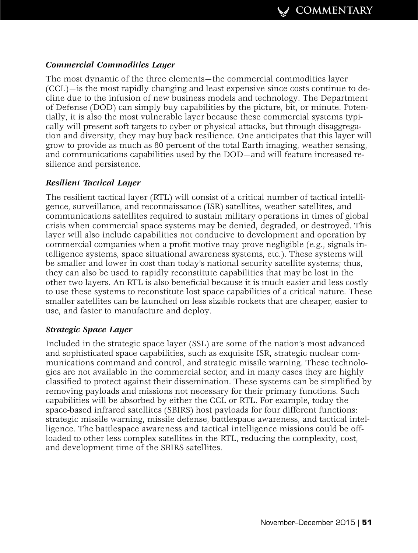### *Commercial Commodities Layer*

The most dynamic of the three elements—the commercial commodities layer (CCL)—is the most rapidly changing and least expensive since costs continue to decline due to the infusion of new business models and technology. The Department of Defense (DOD) can simply buy capabilities by the picture, bit, or minute. Potentially, it is also the most vulnerable layer because these commercial systems typically will present soft targets to cyber or physical attacks, but through disaggregation and diversity, they may buy back resilience. One anticipates that this layer will grow to provide as much as 80 percent of the total Earth imaging, weather sensing, and communications capabilities used by the DOD—and will feature increased resilience and persistence.

#### *Resilient Tactical Layer*

The resilient tactical layer (RTL) will consist of a critical number of tactical intelligence, surveillance, and reconnaissance (ISR) satellites, weather satellites, and communications satellites required to sustain military operations in times of global crisis when commercial space systems may be denied, degraded, or destroyed. This layer will also include capabilities not conducive to development and operation by commercial companies when a profit motive may prove negligible (e.g., signals intelligence systems, space situational awareness systems, etc.). These systems will be smaller and lower in cost than today's national security satellite systems; thus, they can also be used to rapidly reconstitute capabilities that may be lost in the other two layers. An RTL is also beneficial because it is much easier and less costly to use these systems to reconstitute lost space capabilities of a critical nature. These smaller satellites can be launched on less sizable rockets that are cheaper, easier to use, and faster to manufacture and deploy.

#### *Strategic Space Layer*

Included in the strategic space layer (SSL) are some of the nation's most advanced and sophisticated space capabilities, such as exquisite ISR, strategic nuclear communications command and control, and strategic missile warning. These technologies are not available in the commercial sector, and in many cases they are highly classified to protect against their dissemination. These systems can be simplified by removing payloads and missions not necessary for their primary functions. Such capabilities will be absorbed by either the CCL or RTL. For example, today the space-based infrared satellites (SBIRS) host payloads for four different functions: strategic missile warning, missile defense, battlespace awareness, and tactical intelligence. The battlespace awareness and tactical intelligence missions could be offloaded to other less complex satellites in the RTL, reducing the complexity, cost, and development time of the SBIRS satellites.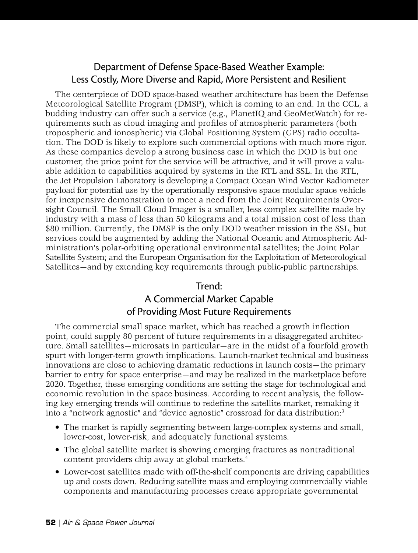# Department of Defense Space-Based Weather Example: Less Costly, More Diverse and Rapid, More Persistent and Resilient

The centerpiece of DOD space-based weather architecture has been the Defense Meteorological Satellite Program (DMSP), which is coming to an end. In the CCL, a budding industry can offer such a service (e.g., PlanetIQ and GeoMetWatch) for requirements such as cloud imaging and profiles of atmospheric parameters (both tropospheric and ionospheric) via Global Positioning System (GPS) radio occultation. The DOD is likely to explore such commercial options with much more rigor. As these companies develop a strong business case in which the DOD is but one customer, the price point for the service will be attractive, and it will prove a valuable addition to capabilities acquired by systems in the RTL and SSL. In the RTL, the Jet Propulsion Laboratory is developing a Compact Ocean Wind Vector Radiometer payload for potential use by the operationally responsive space modular space vehicle for inexpensive demonstration to meet a need from the Joint Requirements Oversight Council. The Small Cloud Imager is a smaller, less complex satellite made by industry with a mass of less than 50 kilograms and a total mission cost of less than \$80 million. Currently, the DMSP is the only DOD weather mission in the SSL, but services could be augmented by adding the National Oceanic and Atmospheric Administration's polar-orbiting operational environmental satellites; the Joint Polar Satellite System; and the European Organisation for the Exploitation of Meteorological Satellites—and by extending key requirements through public-public partnerships.

## Trend:

# A Commercial Market Capable of Providing Most Future Requirements

The commercial small space market, which has reached a growth inflection point, could supply 80 percent of future requirements in a disaggregated architecture. Small satellites—microsats in particular—are in the midst of a fourfold growth spurt with longer-term growth implications. Launch-market technical and business innovations are close to achieving dramatic reductions in launch costs—the primary barrier to entry for space enterprise—and may be realized in the marketplace before 2020. Together, these emerging conditions are setting the stage for technological and economic revolution in the space business. According to recent analysis, the following key emerging trends will continue to redefine the satellite market, remaking it into a "network agnostic" and "device agnostic" crossroad for data distribution:3

- The market is rapidly segmenting between large-complex systems and small, lower-cost, lower-risk, and adequately functional systems.
- The global satellite market is showing emerging fractures as nontraditional content providers chip away at global markets.4
- Lower-cost satellites made with off-the-shelf components are driving capabilities up and costs down. Reducing satellite mass and employing commercially viable components and manufacturing processes create appropriate governmental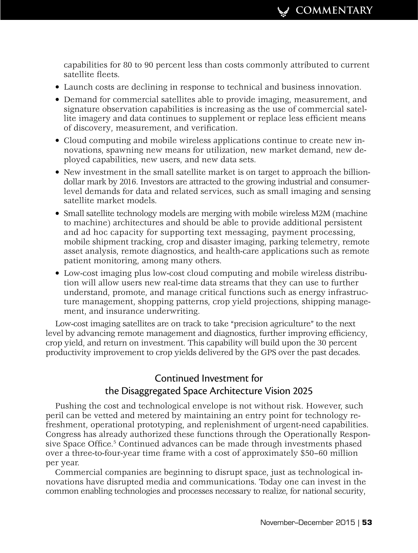capabilities for 80 to 90 percent less than costs commonly attributed to current satellite fleets.

- Launch costs are declining in response to technical and business innovation.
- Demand for commercial satellites able to provide imaging, measurement, and signature observation capabilities is increasing as the use of commercial satellite imagery and data continues to supplement or replace less efficient means of discovery, measurement, and verification.
- Cloud computing and mobile wireless applications continue to create new innovations, spawning new means for utilization, new market demand, new deployed capabilities, new users, and new data sets.
- New investment in the small satellite market is on target to approach the billiondollar mark by 2016. Investors are attracted to the growing industrial and consumerlevel demands for data and related services, such as small imaging and sensing satellite market models.
- Small satellite technology models are merging with mobile wireless M2M (machine to machine) architectures and should be able to provide additional persistent and ad hoc capacity for supporting text messaging, payment processing, mobile shipment tracking, crop and disaster imaging, parking telemetry, remote asset analysis, remote diagnostics, and health-care applications such as remote patient monitoring, among many others.
- Low-cost imaging plus low-cost cloud computing and mobile wireless distribution will allow users new real-time data streams that they can use to further understand, promote, and manage critical functions such as energy infrastructure management, shopping patterns, crop yield projections, shipping management, and insurance underwriting.

Low-cost imaging satellites are on track to take "precision agriculture" to the next level by advancing remote management and diagnostics, further improving efficiency, crop yield, and return on investment. This capability will build upon the 30 percent productivity improvement to crop yields delivered by the GPS over the past decades.

# Continued Investment for the Disaggregated Space Architecture Vision 2025

Pushing the cost and technological envelope is not without risk. However, such peril can be vetted and metered by maintaining an entry point for technology refreshment, operational prototyping, and replenishment of urgent-need capabilities. Congress has already authorized these functions through the Operationally Responsive Space Office.<sup>5</sup> Continued advances can be made through investments phased over a three-to-four-year time frame with a cost of approximately \$50–60 million per year.

Commercial companies are beginning to disrupt space, just as technological innovations have disrupted media and communications. Today one can invest in the common enabling technologies and processes necessary to realize, for national security,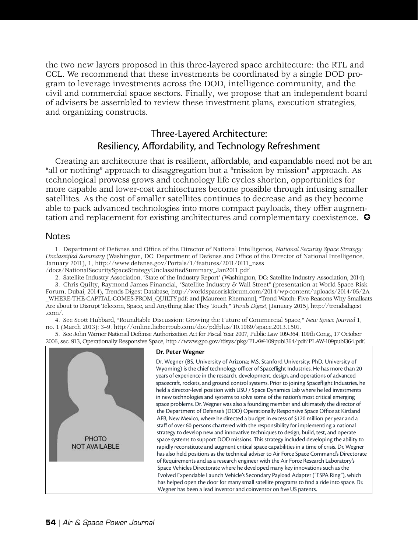<span id="page-5-0"></span>the two new layers proposed in this three-layered space architecture: the RTL and CCL. We recommend that these investments be coordinated by a single DOD program to leverage investments across the DOD, intelligence community, and the civil and commercial space sectors. Finally, we propose that an independent board of advisers be assembled to review these investment plans, execution strategies, and organizing constructs.

# Three-Layered Architecture: Resiliency, Affordability, and Technology Refreshment

Creating an architecture that is resilient, affordable, and expandable need not be an "all or nothing" approach to disaggregation but a "mission by mission" approach. As technological prowess grows and technology life cycles shorten, opportunities for more capable and lower-cost architectures become possible through infusing smaller satellites. As the cost of smaller satellites continues to decrease and as they become able to pack advanced technologies into more compact payloads, they offer augmentation and replacement for existing architectures and complementary coexistence.  $\bullet$ 

#### Notes

1. Department of Defense and Office of the Director of National Intelligence, *National Security Space Strategy: Unclassified Summary* (Washington, DC: Department of Defense and Office of the Director of National Intelligence, January 2011), 1, http://www.defense.gov/Portals/1/features/2011/0111\_nsss

/docs/NationalSecuritySpaceStrategyUnclassifiedSummary\_Jan2011.pdf.

2. Satellite Industry Association, "State of the Industry Report" (Washington, DC: Satellite Industry Association, 2014).

3. Chris Quilty, Raymond James Financial, "Satellite Industry & Wall Street" (presentation at World Space Risk Forum, Dubai, 2014), Trends Digest Database, http://worldspaceriskforum.com/2014/wp-content/uploads/2014/05/2A \_WHERE-THE-CAPITAL-COMES-FROM\_QUILTY.pdf; and [Maureen Rhemann], "Trend Watch: Five Reasons Why Smallsats Are about to Disrupt Telecom, Space, and Anything Else They Touch," *Trends Digest*, [January 2015], http://trendsdigest .com/.

4. See Scott Hubbard, "Roundtable Discussion: Growing the Future of Commercial Space," *New Space Journal* 1, no. 1 (March 2013): 3–9, http://online.liebertpub.com/doi/pdfplus/10.1089/space.2013.1501.

5. See John Warner National Defense Authorization Act for Fiscal Year 2007, Public Law 109-364, 109th Cong., 17 October 2006, sec. 913, Operationally Responsive Space, http://www.gpo.gov/fdsys/pkg/PLAW-109publ364/pdf/PLAW-109publ364.pdf.



#### **Dr. Peter Wegner**

Dr. Wegner (BS, University of Arizona; MS, Stanford University; PhD, University of Wyoming) is the chief technology officer of Spaceflight Industries. He has more than 20 years of experience in the research, development, design, and operations of advanced spacecraft, rockets, and ground control systems. Prior to joining Spaceflight Industries, he held a director-level position with USU / Space Dynamics Lab where he led investments in new technologies and systems to solve some of the nation's most critical emerging space problems. Dr. Wegner was also a founding member and ultimately the director of the Department of Defense's (DOD) Operationally Responsive Space Office at Kirtland AFB, New Mexico, where he directed a budget in excess of \$120 million per year and a staff of over 60 persons chartered with the responsibility for implementing a national strategy to develop new and innovative techniques to design, build, test, and operate space systems to support DOD missions. This strategy included developing the ability to rapidly reconstitute and augment critical space capabilities in a time of crisis. Dr. Wegner has also held positions as the technical adviser to Air Force Space Command's Directorate of Requirements and as a research engineer with the Air Force Research Laboratory's Space Vehicles Directorate where he developed many key innovations such as the Evolved Expendable Launch Vehicle's Secondary Payload Adapter ("ESPA Ring"), which has helped open the door for many small satellite programs to find a ride into space. Dr. Wegner has been a lead inventor and coinventor on five US patents.